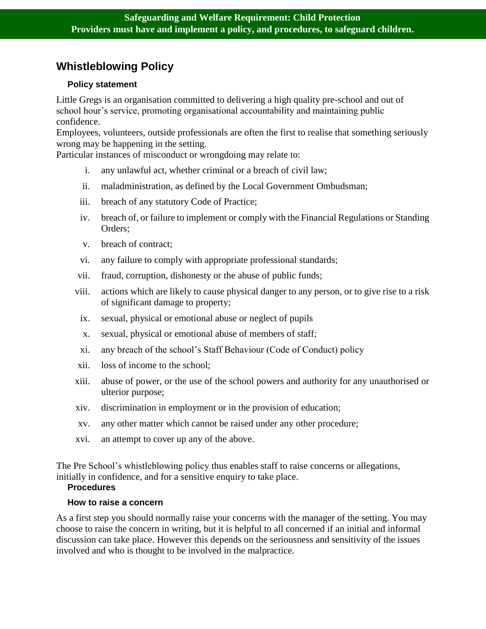# **Whistleblowing Policy**

# **Policy statement**

Little Gregs is an organisation committed to delivering a high quality pre-school and out of school hour's service, promoting organisational accountability and maintaining public confidence.

Employees, volunteers, outside professionals are often the first to realise that something seriously wrong may be happening in the setting.

Particular instances of misconduct or wrongdoing may relate to:

- i. any unlawful act, whether criminal or a breach of civil law;
- ii. maladministration, as defined by the Local Government Ombudsman;
- iii. breach of any statutory Code of Practice;
- iv. breach of, or failure to implement or comply with the Financial Regulations or Standing Orders;
- v. breach of contract;
- vi. any failure to comply with appropriate professional standards;
- vii. fraud, corruption, dishonesty or the abuse of public funds;
- viii. actions which are likely to cause physical danger to any person, or to give rise to a risk of significant damage to property;
- ix. sexual, physical or emotional abuse or neglect of pupils
- x. sexual, physical or emotional abuse of members of staff;
- xi. any breach of the school's Staff Behaviour (Code of Conduct) policy
- xii. loss of income to the school;
- xiii. abuse of power, or the use of the school powers and authority for any unauthorised or ulterior purpose;
- xiv. discrimination in employment or in the provision of education;
- xv. any other matter which cannot be raised under any other procedure;
- xvi. an attempt to cover up any of the above.

The Pre School's whistleblowing policy thus enables staff to raise concerns or allegations, initially in confidence, and for a sensitive enquiry to take place.

### **Procedures**

### **How to raise a concern**

As a first step you should normally raise your concerns with the manager of the setting. You may choose to raise the concern in writing, but it is helpful to all concerned if an initial and informal discussion can take place. However this depends on the seriousness and sensitivity of the issues involved and who is thought to be involved in the malpractice.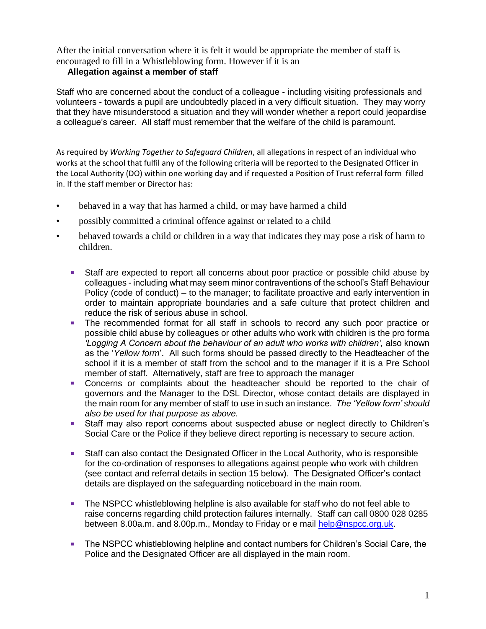After the initial conversation where it is felt it would be appropriate the member of staff is encouraged to fill in a Whistleblowing form. However if it is an

# **Allegation against a member of staff**

Staff who are concerned about the conduct of a colleague - including visiting professionals and volunteers - towards a pupil are undoubtedly placed in a very difficult situation. They may worry that they have misunderstood a situation and they will wonder whether a report could jeopardise a colleague's career. All staff must remember that the welfare of the child is paramount.

As required by *Working Together to Safeguard Children*, all allegations in respect of an individual who works at the school that fulfil any of the following criteria will be reported to the Designated Officer in the Local Authority (DO) within one working day and if requested a Position of Trust referral form filled in. If the staff member or Director has:

- behaved in a way that has harmed a child, or may have harmed a child
- possibly committed a criminal offence against or related to a child
- behaved towards a child or children in a way that indicates they may pose a risk of harm to children.
	- Staff are expected to report all concerns about poor practice or possible child abuse by colleagues - including what may seem minor contraventions of the school's Staff Behaviour Policy (code of conduct) – to the manager; to facilitate proactive and early intervention in order to maintain appropriate boundaries and a safe culture that protect children and reduce the risk of serious abuse in school.
	- The recommended format for all staff in schools to record any such poor practice or possible child abuse by colleagues or other adults who work with children is the pro forma Logging A Concern about the behaviour of an adult who works with children', also known as the '*Yellow form*'. All such forms should be passed directly to the Headteacher of the school if it is a member of staff from the school and to the manager if it is a Pre School member of staff. Alternatively, staff are free to approach the manager
	- **Concerns or complaints about the headteacher should be reported to the chair of** governors and the Manager to the DSL Director, whose contact details are displayed in the main room for any member of staff to use in such an instance. *The 'Yellow form' should also be used for that purpose as above.*
	- Staff may also report concerns about suspected abuse or neglect directly to Children's Social Care or the Police if they believe direct reporting is necessary to secure action.
	- Staff can also contact the Designated Officer in the Local Authority, who is responsible for the co-ordination of responses to allegations against people who work with children (see contact and referral details in section 15 below). The Designated Officer's contact details are displayed on the safeguarding noticeboard in the main room.
	- **The NSPCC whistleblowing helpline is also available for staff who do not feel able to** raise concerns regarding child protection failures internally. Staff can call 0800 028 0285 between 8.00a.m. and 8.00p.m., Monday to Friday or e mail [help@nspcc.org.uk.](mailto:help@nspcc.org.uk)
	- **The NSPCC whistleblowing helpline and contact numbers for Children's Social Care, the** Police and the Designated Officer are all displayed in the main room.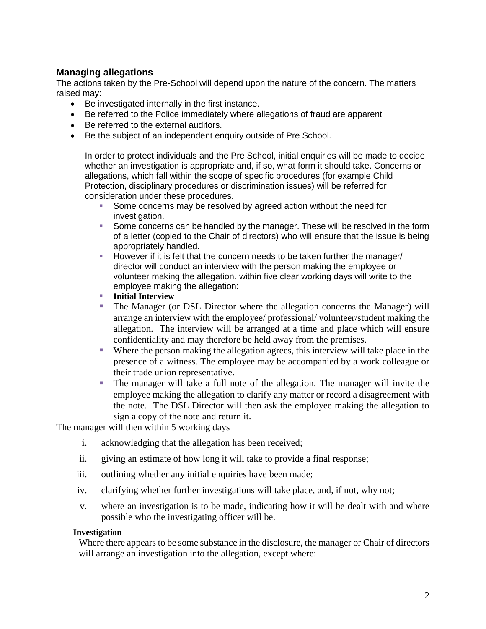# **Managing allegations**

The actions taken by the Pre-School will depend upon the nature of the concern. The matters raised may:

- Be investigated internally in the first instance.
- Be referred to the Police immediately where allegations of fraud are apparent
- Be referred to the external auditors.
- Be the subject of an independent enquiry outside of Pre School.

In order to protect individuals and the Pre School, initial enquiries will be made to decide whether an investigation is appropriate and, if so, what form it should take. Concerns or allegations, which fall within the scope of specific procedures (for example Child Protection, disciplinary procedures or discrimination issues) will be referred for consideration under these procedures.

- Some concerns may be resolved by agreed action without the need for investigation.
- **Some concerns can be handled by the manager. These will be resolved in the form** of a letter (copied to the Chair of directors) who will ensure that the issue is being appropriately handled.
- However if it is felt that the concern needs to be taken further the manager/ director will conduct an interview with the person making the employee or volunteer making the allegation. within five clear working days will write to the employee making the allegation:
- **Initial Interview**
- The Manager (or DSL Director where the allegation concerns the Manager) will arrange an interview with the employee/ professional/ volunteer/student making the allegation. The interview will be arranged at a time and place which will ensure confidentiality and may therefore be held away from the premises.
- Where the person making the allegation agrees, this interview will take place in the presence of a witness. The employee may be accompanied by a work colleague or their trade union representative.
- The manager will take a full note of the allegation. The manager will invite the employee making the allegation to clarify any matter or record a disagreement with the note. The DSL Director will then ask the employee making the allegation to sign a copy of the note and return it.

The manager will then within 5 working days

- i. acknowledging that the allegation has been received;
- ii. giving an estimate of how long it will take to provide a final response;
- iii. outlining whether any initial enquiries have been made;
- iv. clarifying whether further investigations will take place, and, if not, why not;
- v. where an investigation is to be made, indicating how it will be dealt with and where possible who the investigating officer will be.

#### **Investigation**

Where there appears to be some substance in the disclosure, the manager or Chair of directors will arrange an investigation into the allegation, except where: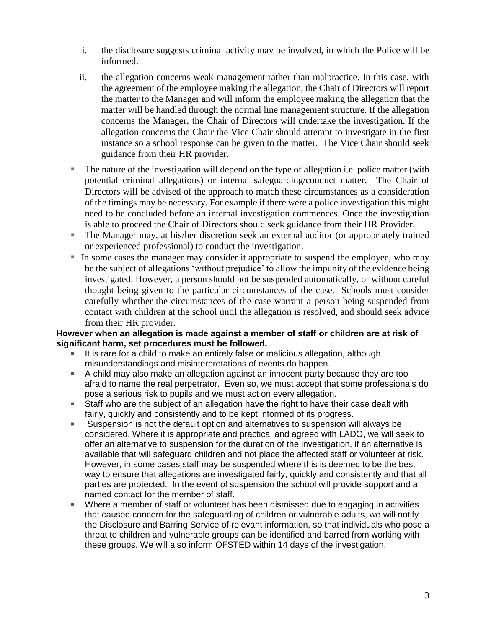- i. the disclosure suggests criminal activity may be involved, in which the Police will be informed.
- ii. the allegation concerns weak management rather than malpractice. In this case, with the agreement of the employee making the allegation, the Chair of Directors will report the matter to the Manager and will inform the employee making the allegation that the matter will be handled through the normal line management structure. If the allegation concerns the Manager, the Chair of Directors will undertake the investigation. If the allegation concerns the Chair the Vice Chair should attempt to investigate in the first instance so a school response can be given to the matter. The Vice Chair should seek guidance from their HR provider.
- $\blacksquare$  The nature of the investigation will depend on the type of allegation i.e. police matter (with potential criminal allegations) or internal safeguarding/conduct matter. The Chair of Directors will be advised of the approach to match these circumstances as a consideration of the timings may be necessary. For example if there were a police investigation this might need to be concluded before an internal investigation commences. Once the investigation is able to proceed the Chair of Directors should seek guidance from their HR Provider.
- The Manager may, at his/her discretion seek an external auditor (or appropriately trained or experienced professional) to conduct the investigation.
- In some cases the manager may consider it appropriate to suspend the employee, who may be the subject of allegations 'without prejudice' to allow the impunity of the evidence being investigated. However, a person should not be suspended automatically, or without careful thought being given to the particular circumstances of the case. Schools must consider carefully whether the circumstances of the case warrant a person being suspended from contact with children at the school until the allegation is resolved, and should seek advice from their HR provider.

## **However when an allegation is made against a member of staff or children are at risk of significant harm, set procedures must be followed.**

- It is rare for a child to make an entirely false or malicious allegation, although misunderstandings and misinterpretations of events do happen.
- A child may also make an allegation against an innocent party because they are too afraid to name the real perpetrator. Even so, we must accept that some professionals do pose a serious risk to pupils and we must act on every allegation.
- Staff who are the subject of an allegation have the right to have their case dealt with fairly, quickly and consistently and to be kept informed of its progress.
- Suspension is not the default option and alternatives to suspension will always be considered. Where it is appropriate and practical and agreed with LADO, we will seek to offer an alternative to suspension for the duration of the investigation, if an alternative is available that will safeguard children and not place the affected staff or volunteer at risk. However, in some cases staff may be suspended where this is deemed to be the best way to ensure that allegations are investigated fairly, quickly and consistently and that all parties are protected. In the event of suspension the school will provide support and a named contact for the member of staff.
- Where a member of staff or volunteer has been dismissed due to engaging in activities that caused concern for the safeguarding of children or vulnerable adults, we will notify the Disclosure and Barring Service of relevant information, so that individuals who pose a threat to children and vulnerable groups can be identified and barred from working with these groups. We will also inform OFSTED within 14 days of the investigation.